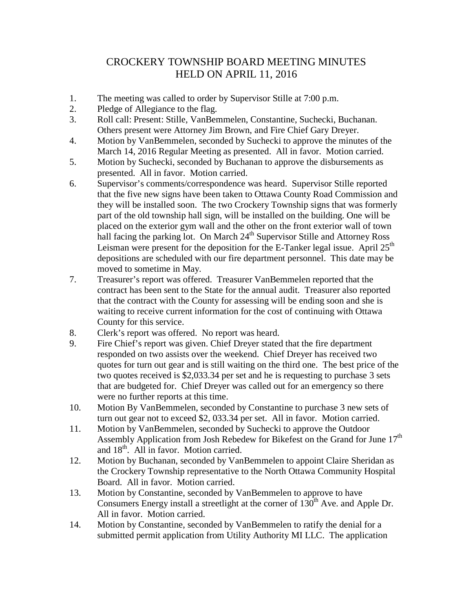## CROCKERY TOWNSHIP BOARD MEETING MINUTES HELD ON APRIL 11, 2016

- 1. The meeting was called to order by Supervisor Stille at 7:00 p.m.
- 2. Pledge of Allegiance to the flag.
- 3. Roll call: Present: Stille, VanBemmelen, Constantine, Suchecki, Buchanan. Others present were Attorney Jim Brown, and Fire Chief Gary Dreyer.
- 4. Motion by VanBemmelen, seconded by Suchecki to approve the minutes of the March 14, 2016 Regular Meeting as presented. All in favor. Motion carried.
- 5. Motion by Suchecki, seconded by Buchanan to approve the disbursements as presented. All in favor. Motion carried.
- 6. Supervisor's comments/correspondence was heard. Supervisor Stille reported that the five new signs have been taken to Ottawa County Road Commission and they will be installed soon. The two Crockery Township signs that was formerly part of the old township hall sign, will be installed on the building. One will be placed on the exterior gym wall and the other on the front exterior wall of town hall facing the parking lot. On March  $24<sup>th</sup>$  Supervisor Stille and Attorney Ross Leisman were present for the deposition for the E-Tanker legal issue. April  $25<sup>th</sup>$ depositions are scheduled with our fire department personnel. This date may be moved to sometime in May.
- 7. Treasurer's report was offered. Treasurer VanBemmelen reported that the contract has been sent to the State for the annual audit. Treasurer also reported that the contract with the County for assessing will be ending soon and she is waiting to receive current information for the cost of continuing with Ottawa County for this service.
- 8. Clerk's report was offered. No report was heard.
- 9. Fire Chief's report was given. Chief Dreyer stated that the fire department responded on two assists over the weekend. Chief Dreyer has received two quotes for turn out gear and is still waiting on the third one. The best price of the two quotes received is \$2,033.34 per set and he is requesting to purchase 3 sets that are budgeted for. Chief Dreyer was called out for an emergency so there were no further reports at this time.
- 10. Motion By VanBemmelen, seconded by Constantine to purchase 3 new sets of turn out gear not to exceed \$2, 033.34 per set. All in favor. Motion carried.
- 11. Motion by VanBemmelen, seconded by Suchecki to approve the Outdoor Assembly Application from Josh Rebedew for Bikefest on the Grand for June 17<sup>th</sup> and 18<sup>th</sup>. All in favor. Motion carried.
- 12. Motion by Buchanan, seconded by VanBemmelen to appoint Claire Sheridan as the Crockery Township representative to the North Ottawa Community Hospital Board. All in favor. Motion carried.
- 13. Motion by Constantine, seconded by VanBemmelen to approve to have Consumers Energy install a streetlight at the corner of  $130<sup>th</sup>$  Ave. and Apple Dr. All in favor. Motion carried.
- 14. Motion by Constantine, seconded by VanBemmelen to ratify the denial for a submitted permit application from Utility Authority MI LLC. The application